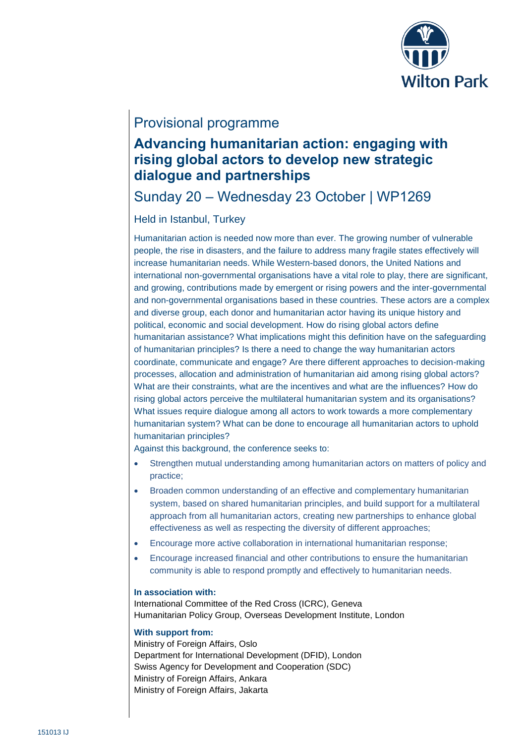

## Provisional programme

# **Advancing humanitarian action: engaging with rising global actors to develop new strategic dialogue and partnerships**

# Sunday 20 – Wednesday 23 October | WP1269

### Held in Istanbul, Turkey

Humanitarian action is needed now more than ever. The growing number of vulnerable people, the rise in disasters, and the failure to address many fragile states effectively will increase humanitarian needs. While Western-based donors, the United Nations and international non-governmental organisations have a vital role to play, there are significant, and growing, contributions made by emergent or rising powers and the inter-governmental and non-governmental organisations based in these countries. These actors are a complex and diverse group, each donor and humanitarian actor having its unique history and political, economic and social development. How do rising global actors define humanitarian assistance? What implications might this definition have on the safeguarding of humanitarian principles? Is there a need to change the way humanitarian actors coordinate, communicate and engage? Are there different approaches to decision-making processes, allocation and administration of humanitarian aid among rising global actors? What are their constraints, what are the incentives and what are the influences? How do rising global actors perceive the multilateral humanitarian system and its organisations? What issues require dialogue among all actors to work towards a more complementary humanitarian system? What can be done to encourage all humanitarian actors to uphold humanitarian principles?

Against this background, the conference seeks to:

- Strengthen mutual understanding among humanitarian actors on matters of policy and practice;
- Broaden common understanding of an effective and complementary humanitarian system, based on shared humanitarian principles, and build support for a multilateral approach from all humanitarian actors, creating new partnerships to enhance global effectiveness as well as respecting the diversity of different approaches;
- Encourage more active collaboration in international humanitarian response;
- Encourage increased financial and other contributions to ensure the humanitarian community is able to respond promptly and effectively to humanitarian needs.

### **In association with:**

International Committee of the Red Cross (ICRC), Geneva Humanitarian Policy Group, Overseas Development Institute, London

### **With support from:**

Ministry of Foreign Affairs, Oslo Department for International Development (DFID), London Swiss Agency for Development and Cooperation (SDC) Ministry of Foreign Affairs, Ankara Ministry of Foreign Affairs, Jakarta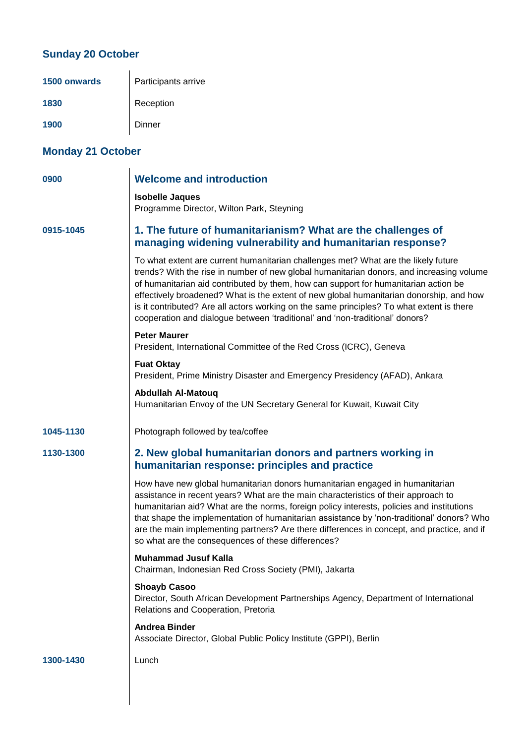## **Sunday 20 October**

| 1500 onwards | Participants arrive |
|--------------|---------------------|
| 1830         | Reception           |
| 1900         | <b>Dinner</b>       |

## **Monday 21 October**

| 0900      | <b>Welcome and introduction</b>                                                                                                                                                                                                                                                                                                                                                                                                                                                                                                               |
|-----------|-----------------------------------------------------------------------------------------------------------------------------------------------------------------------------------------------------------------------------------------------------------------------------------------------------------------------------------------------------------------------------------------------------------------------------------------------------------------------------------------------------------------------------------------------|
|           | <b>Isobelle Jaques</b><br>Programme Director, Wilton Park, Steyning                                                                                                                                                                                                                                                                                                                                                                                                                                                                           |
| 0915-1045 | 1. The future of humanitarianism? What are the challenges of<br>managing widening vulnerability and humanitarian response?                                                                                                                                                                                                                                                                                                                                                                                                                    |
|           | To what extent are current humanitarian challenges met? What are the likely future<br>trends? With the rise in number of new global humanitarian donors, and increasing volume<br>of humanitarian aid contributed by them, how can support for humanitarian action be<br>effectively broadened? What is the extent of new global humanitarian donorship, and how<br>is it contributed? Are all actors working on the same principles? To what extent is there<br>cooperation and dialogue between 'traditional' and 'non-traditional' donors? |
|           | <b>Peter Maurer</b><br>President, International Committee of the Red Cross (ICRC), Geneva                                                                                                                                                                                                                                                                                                                                                                                                                                                     |
|           | <b>Fuat Oktay</b><br>President, Prime Ministry Disaster and Emergency Presidency (AFAD), Ankara                                                                                                                                                                                                                                                                                                                                                                                                                                               |
|           | <b>Abdullah Al-Matouq</b><br>Humanitarian Envoy of the UN Secretary General for Kuwait, Kuwait City                                                                                                                                                                                                                                                                                                                                                                                                                                           |
| 1045-1130 | Photograph followed by tea/coffee                                                                                                                                                                                                                                                                                                                                                                                                                                                                                                             |
| 1130-1300 | 2. New global humanitarian donors and partners working in<br>humanitarian response: principles and practice                                                                                                                                                                                                                                                                                                                                                                                                                                   |
|           | How have new global humanitarian donors humanitarian engaged in humanitarian<br>assistance in recent years? What are the main characteristics of their approach to<br>humanitarian aid? What are the norms, foreign policy interests, policies and institutions<br>that shape the implementation of humanitarian assistance by 'non-traditional' donors? Who<br>are the main implementing partners? Are there differences in concept, and practice, and if<br>so what are the consequences of these differences?                              |
|           | <b>Muhammad Jusuf Kalla</b><br>Chairman, Indonesian Red Cross Society (PMI), Jakarta                                                                                                                                                                                                                                                                                                                                                                                                                                                          |
|           | <b>Shoayb Casoo</b><br>Director, South African Development Partnerships Agency, Department of International<br>Relations and Cooperation, Pretoria                                                                                                                                                                                                                                                                                                                                                                                            |
|           | <b>Andrea Binder</b><br>Associate Director, Global Public Policy Institute (GPPI), Berlin                                                                                                                                                                                                                                                                                                                                                                                                                                                     |
| 1300-1430 | Lunch                                                                                                                                                                                                                                                                                                                                                                                                                                                                                                                                         |
|           |                                                                                                                                                                                                                                                                                                                                                                                                                                                                                                                                               |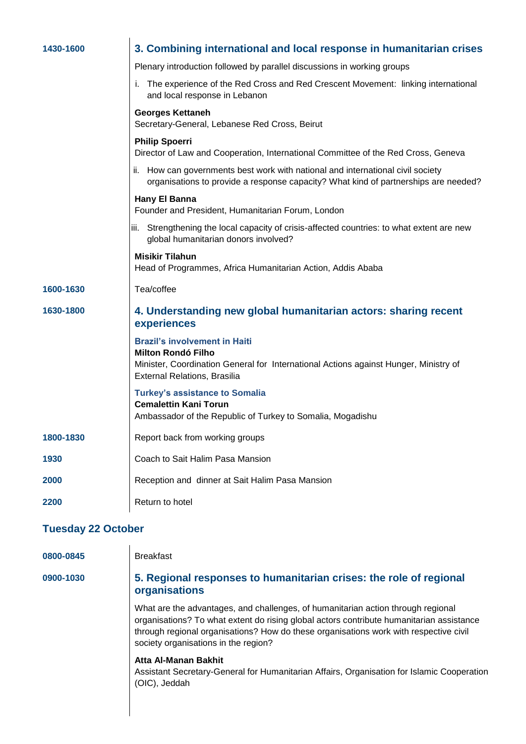| 1430-1600                 | 3. Combining international and local response in humanitarian crises                                                                                                                      |
|---------------------------|-------------------------------------------------------------------------------------------------------------------------------------------------------------------------------------------|
|                           | Plenary introduction followed by parallel discussions in working groups                                                                                                                   |
|                           | i. The experience of the Red Cross and Red Crescent Movement: linking international<br>and local response in Lebanon                                                                      |
|                           | <b>Georges Kettaneh</b><br>Secretary-General, Lebanese Red Cross, Beirut                                                                                                                  |
|                           | <b>Philip Spoerri</b><br>Director of Law and Cooperation, International Committee of the Red Cross, Geneva                                                                                |
|                           | ii. How can governments best work with national and international civil society<br>organisations to provide a response capacity? What kind of partnerships are needed?                    |
|                           | <b>Hany El Banna</b><br>Founder and President, Humanitarian Forum, London                                                                                                                 |
|                           | iii. Strengthening the local capacity of crisis-affected countries: to what extent are new<br>global humanitarian donors involved?                                                        |
|                           | <b>Misikir Tilahun</b><br>Head of Programmes, Africa Humanitarian Action, Addis Ababa                                                                                                     |
| 1600-1630                 | Tea/coffee                                                                                                                                                                                |
| 1630-1800                 | 4. Understanding new global humanitarian actors: sharing recent<br>experiences                                                                                                            |
|                           | <b>Brazil's involvement in Haiti</b><br><b>Milton Rondó Filho</b><br>Minister, Coordination General for International Actions against Hunger, Ministry of<br>External Relations, Brasilia |
|                           | <b>Turkey's assistance to Somalia</b><br><b>Cemalettin Kani Torun</b><br>Ambassador of the Republic of Turkey to Somalia, Mogadishu                                                       |
| 1800-1830                 | Report back from working groups                                                                                                                                                           |
| 1930                      | Coach to Sait Halim Pasa Mansion                                                                                                                                                          |
| 2000                      | Reception and dinner at Sait Halim Pasa Mansion                                                                                                                                           |
| 2200                      | Return to hotel                                                                                                                                                                           |
| <b>Tuesday 22 October</b> |                                                                                                                                                                                           |
| 0800-0845                 | <b>Breakfast</b>                                                                                                                                                                          |

## **0900-1030 5. Regional responses to humanitarian crises: the role of regional organisations**

What are the advantages, and challenges, of humanitarian action through regional organisations? To what extent do rising global actors contribute humanitarian assistance through regional organisations? How do these organisations work with respective civil society organisations in the region?

### **Atta Al-Manan Bakhit**

Assistant Secretary-General for Humanitarian Affairs, Organisation for Islamic Cooperation (OIC), Jeddah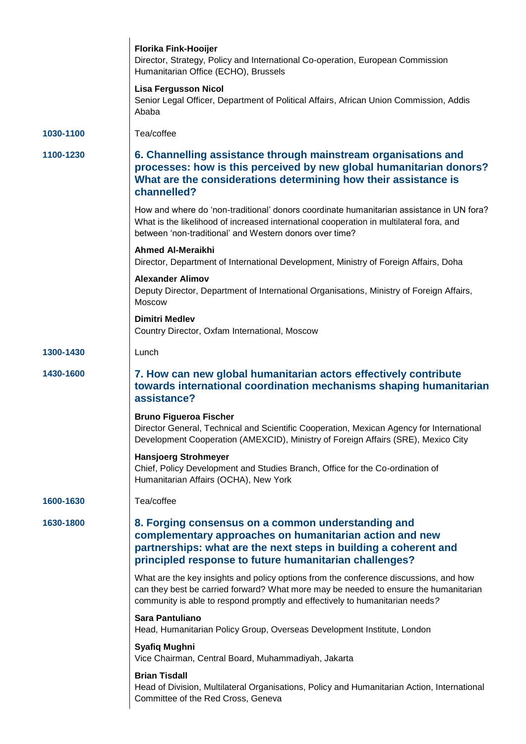|           | Florika Fink-Hooijer<br>Director, Strategy, Policy and International Co-operation, European Commission<br>Humanitarian Office (ECHO), Brussels                                                                                                                |
|-----------|---------------------------------------------------------------------------------------------------------------------------------------------------------------------------------------------------------------------------------------------------------------|
|           | <b>Lisa Fergusson Nicol</b><br>Senior Legal Officer, Department of Political Affairs, African Union Commission, Addis<br>Ababa                                                                                                                                |
| 1030-1100 | Tea/coffee                                                                                                                                                                                                                                                    |
| 1100-1230 | 6. Channelling assistance through mainstream organisations and<br>processes: how is this perceived by new global humanitarian donors?<br>What are the considerations determining how their assistance is<br>channelled?                                       |
|           | How and where do 'non-traditional' donors coordinate humanitarian assistance in UN fora?<br>What is the likelihood of increased international cooperation in multilateral fora, and<br>between 'non-traditional' and Western donors over time?                |
|           | <b>Ahmed Al-Meraikhi</b><br>Director, Department of International Development, Ministry of Foreign Affairs, Doha                                                                                                                                              |
|           | <b>Alexander Alimov</b><br>Deputy Director, Department of International Organisations, Ministry of Foreign Affairs,<br>Moscow                                                                                                                                 |
|           | <b>Dimitri Medlev</b><br>Country Director, Oxfam International, Moscow                                                                                                                                                                                        |
| 1300-1430 | Lunch                                                                                                                                                                                                                                                         |
| 1430-1600 | 7. How can new global humanitarian actors effectively contribute<br>towards international coordination mechanisms shaping humanitarian<br>assistance?                                                                                                         |
|           | <b>Bruno Figueroa Fischer</b><br>Director General, Technical and Scientific Cooperation, Mexican Agency for International<br>Development Cooperation (AMEXCID), Ministry of Foreign Affairs (SRE), Mexico City                                                |
|           | <b>Hansjoerg Strohmeyer</b><br>Chief, Policy Development and Studies Branch, Office for the Co-ordination of<br>Humanitarian Affairs (OCHA), New York                                                                                                         |
| 1600-1630 | Tea/coffee                                                                                                                                                                                                                                                    |
| 1630-1800 | 8. Forging consensus on a common understanding and<br>complementary approaches on humanitarian action and new<br>partnerships: what are the next steps in building a coherent and<br>principled response to future humanitarian challenges?                   |
|           | What are the key insights and policy options from the conference discussions, and how<br>can they best be carried forward? What more may be needed to ensure the humanitarian<br>community is able to respond promptly and effectively to humanitarian needs? |
|           | Sara Pantuliano<br>Head, Humanitarian Policy Group, Overseas Development Institute, London                                                                                                                                                                    |
|           | <b>Syafiq Mughni</b><br>Vice Chairman, Central Board, Muhammadiyah, Jakarta                                                                                                                                                                                   |
|           | <b>Brian Tisdall</b><br>Head of Division, Multilateral Organisations, Policy and Humanitarian Action, International<br>Committee of the Red Cross, Geneva                                                                                                     |